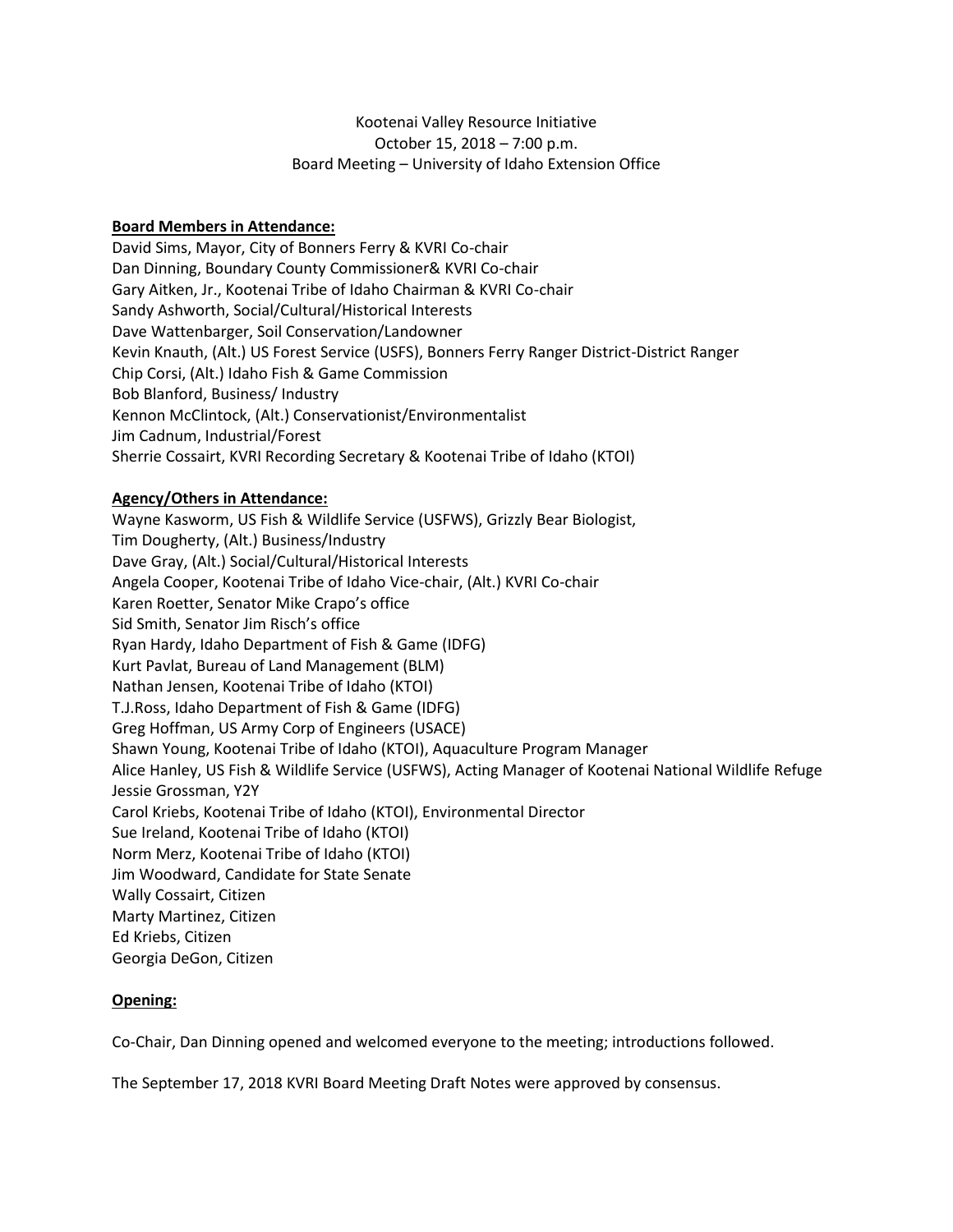## Kootenai Valley Resource Initiative October 15, 2018 – 7:00 p.m. Board Meeting – University of Idaho Extension Office

## **Board Members in Attendance:**

David Sims, Mayor, City of Bonners Ferry & KVRI Co-chair Dan Dinning, Boundary County Commissioner& KVRI Co-chair Gary Aitken, Jr., Kootenai Tribe of Idaho Chairman & KVRI Co-chair Sandy Ashworth, Social/Cultural/Historical Interests Dave Wattenbarger, Soil Conservation/Landowner Kevin Knauth, (Alt.) US Forest Service (USFS), Bonners Ferry Ranger District-District Ranger Chip Corsi, (Alt.) Idaho Fish & Game Commission Bob Blanford, Business/ Industry Kennon McClintock, (Alt.) Conservationist/Environmentalist Jim Cadnum, Industrial/Forest Sherrie Cossairt, KVRI Recording Secretary & Kootenai Tribe of Idaho (KTOI)

## **Agency/Others in Attendance:**

Wayne Kasworm, US Fish & Wildlife Service (USFWS), Grizzly Bear Biologist, Tim Dougherty, (Alt.) Business/Industry Dave Gray, (Alt.) Social/Cultural/Historical Interests Angela Cooper, Kootenai Tribe of Idaho Vice-chair, (Alt.) KVRI Co-chair Karen Roetter, Senator Mike Crapo's office Sid Smith, Senator Jim Risch's office Ryan Hardy, Idaho Department of Fish & Game (IDFG) Kurt Pavlat, Bureau of Land Management (BLM) Nathan Jensen, Kootenai Tribe of Idaho (KTOI) T.J.Ross, Idaho Department of Fish & Game (IDFG) Greg Hoffman, US Army Corp of Engineers (USACE) Shawn Young, Kootenai Tribe of Idaho (KTOI), Aquaculture Program Manager Alice Hanley, US Fish & Wildlife Service (USFWS), Acting Manager of Kootenai National Wildlife Refuge Jessie Grossman, Y2Y Carol Kriebs, Kootenai Tribe of Idaho (KTOI), Environmental Director Sue Ireland, Kootenai Tribe of Idaho (KTOI) Norm Merz, Kootenai Tribe of Idaho (KTOI) Jim Woodward, Candidate for State Senate Wally Cossairt, Citizen Marty Martinez, Citizen Ed Kriebs, Citizen Georgia DeGon, Citizen

## **Opening:**

Co-Chair, Dan Dinning opened and welcomed everyone to the meeting; introductions followed.

The September 17, 2018 KVRI Board Meeting Draft Notes were approved by consensus.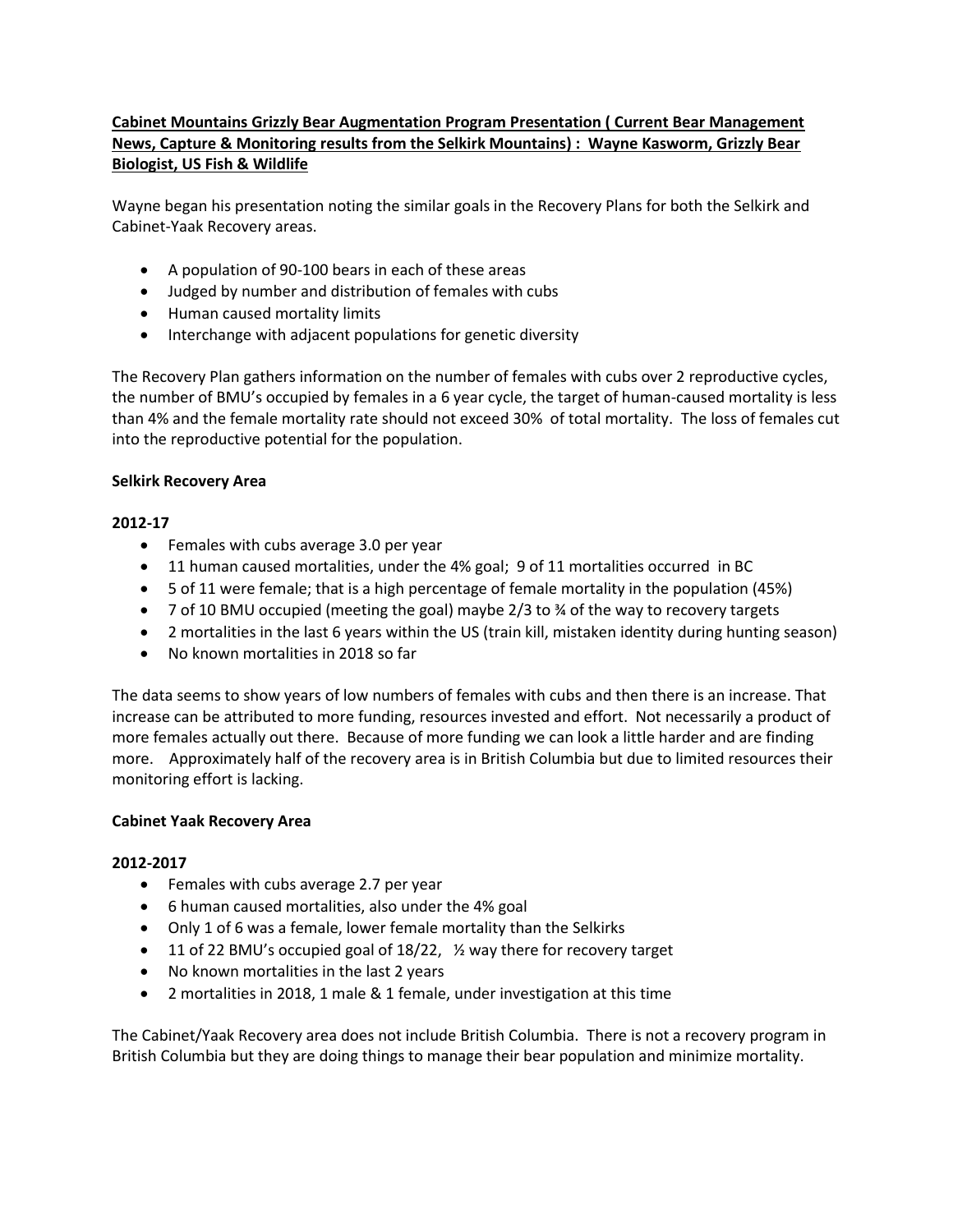# **Cabinet Mountains Grizzly Bear Augmentation Program Presentation ( Current Bear Management News, Capture & Monitoring results from the Selkirk Mountains) : Wayne Kasworm, Grizzly Bear Biologist, US Fish & Wildlife**

Wayne began his presentation noting the similar goals in the Recovery Plans for both the Selkirk and Cabinet-Yaak Recovery areas.

- A population of 90-100 bears in each of these areas
- Judged by number and distribution of females with cubs
- Human caused mortality limits
- Interchange with adjacent populations for genetic diversity

The Recovery Plan gathers information on the number of females with cubs over 2 reproductive cycles, the number of BMU's occupied by females in a 6 year cycle, the target of human-caused mortality is less than 4% and the female mortality rate should not exceed 30% of total mortality. The loss of females cut into the reproductive potential for the population.

## **Selkirk Recovery Area**

## **2012-17**

- Females with cubs average 3.0 per year
- 11 human caused mortalities, under the 4% goal; 9 of 11 mortalities occurred in BC
- 5 of 11 were female; that is a high percentage of female mortality in the population (45%)
- 7 of 10 BMU occupied (meeting the goal) maybe  $2/3$  to  $\frac{3}{4}$  of the way to recovery targets
- 2 mortalities in the last 6 years within the US (train kill, mistaken identity during hunting season)
- No known mortalities in 2018 so far

The data seems to show years of low numbers of females with cubs and then there is an increase. That increase can be attributed to more funding, resources invested and effort. Not necessarily a product of more females actually out there. Because of more funding we can look a little harder and are finding more. Approximately half of the recovery area is in British Columbia but due to limited resources their monitoring effort is lacking.

## **Cabinet Yaak Recovery Area**

## **2012-2017**

- Females with cubs average 2.7 per year
- 6 human caused mortalities, also under the 4% goal
- Only 1 of 6 was a female, lower female mortality than the Selkirks
- 11 of 22 BMU's occupied goal of 18/22, ½ way there for recovery target
- No known mortalities in the last 2 years
- 2 mortalities in 2018, 1 male & 1 female, under investigation at this time

The Cabinet/Yaak Recovery area does not include British Columbia. There is not a recovery program in British Columbia but they are doing things to manage their bear population and minimize mortality.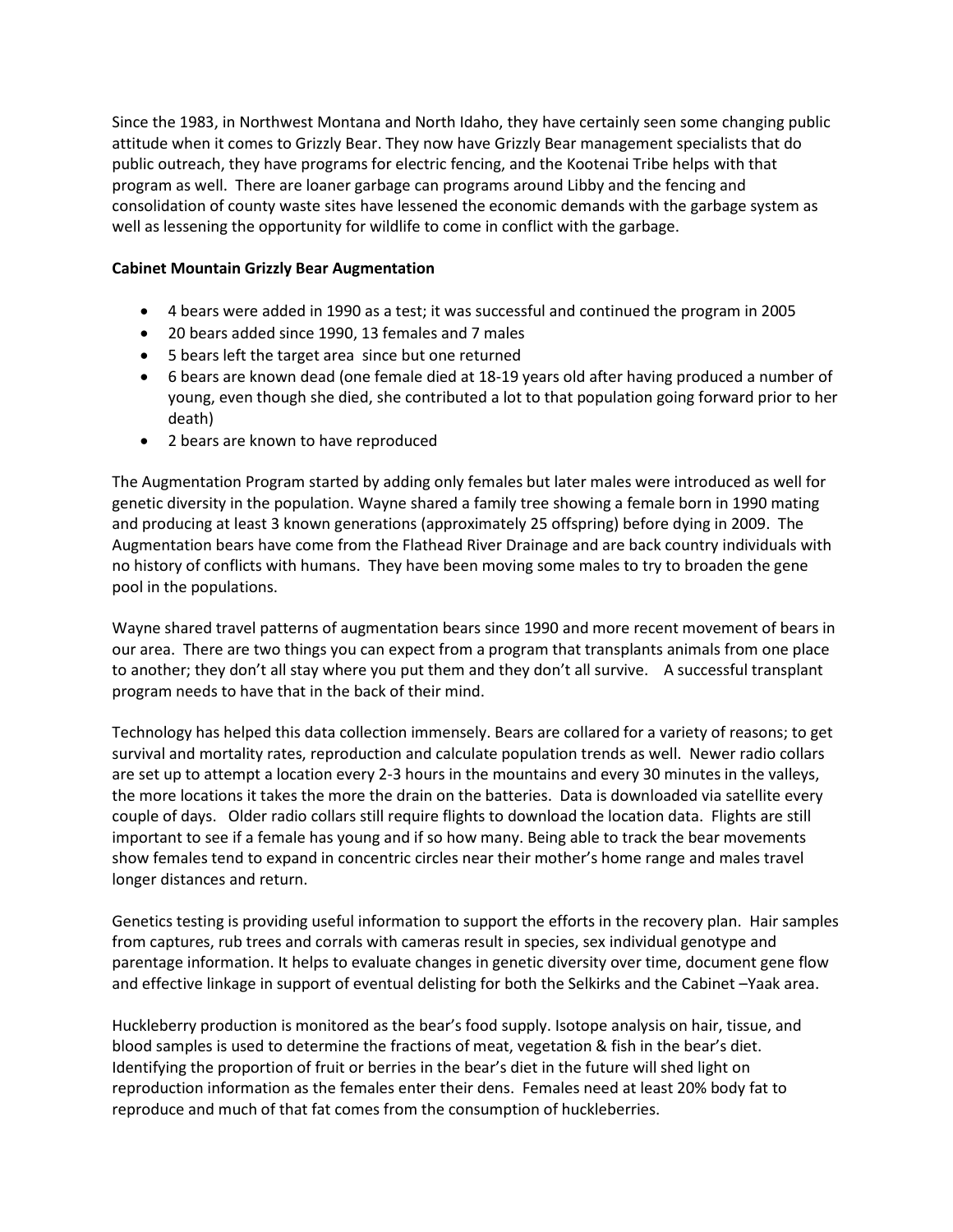Since the 1983, in Northwest Montana and North Idaho, they have certainly seen some changing public attitude when it comes to Grizzly Bear. They now have Grizzly Bear management specialists that do public outreach, they have programs for electric fencing, and the Kootenai Tribe helps with that program as well. There are loaner garbage can programs around Libby and the fencing and consolidation of county waste sites have lessened the economic demands with the garbage system as well as lessening the opportunity for wildlife to come in conflict with the garbage.

## **Cabinet Mountain Grizzly Bear Augmentation**

- 4 bears were added in 1990 as a test; it was successful and continued the program in 2005
- 20 bears added since 1990, 13 females and 7 males
- 5 bears left the target area since but one returned
- 6 bears are known dead (one female died at 18-19 years old after having produced a number of young, even though she died, she contributed a lot to that population going forward prior to her death)
- 2 bears are known to have reproduced

The Augmentation Program started by adding only females but later males were introduced as well for genetic diversity in the population. Wayne shared a family tree showing a female born in 1990 mating and producing at least 3 known generations (approximately 25 offspring) before dying in 2009. The Augmentation bears have come from the Flathead River Drainage and are back country individuals with no history of conflicts with humans. They have been moving some males to try to broaden the gene pool in the populations.

Wayne shared travel patterns of augmentation bears since 1990 and more recent movement of bears in our area. There are two things you can expect from a program that transplants animals from one place to another; they don't all stay where you put them and they don't all survive. A successful transplant program needs to have that in the back of their mind.

Technology has helped this data collection immensely. Bears are collared for a variety of reasons; to get survival and mortality rates, reproduction and calculate population trends as well. Newer radio collars are set up to attempt a location every 2-3 hours in the mountains and every 30 minutes in the valleys, the more locations it takes the more the drain on the batteries. Data is downloaded via satellite every couple of days. Older radio collars still require flights to download the location data. Flights are still important to see if a female has young and if so how many. Being able to track the bear movements show females tend to expand in concentric circles near their mother's home range and males travel longer distances and return.

Genetics testing is providing useful information to support the efforts in the recovery plan. Hair samples from captures, rub trees and corrals with cameras result in species, sex individual genotype and parentage information. It helps to evaluate changes in genetic diversity over time, document gene flow and effective linkage in support of eventual delisting for both the Selkirks and the Cabinet –Yaak area.

Huckleberry production is monitored as the bear's food supply. Isotope analysis on hair, tissue, and blood samples is used to determine the fractions of meat, vegetation & fish in the bear's diet. Identifying the proportion of fruit or berries in the bear's diet in the future will shed light on reproduction information as the females enter their dens. Females need at least 20% body fat to reproduce and much of that fat comes from the consumption of huckleberries.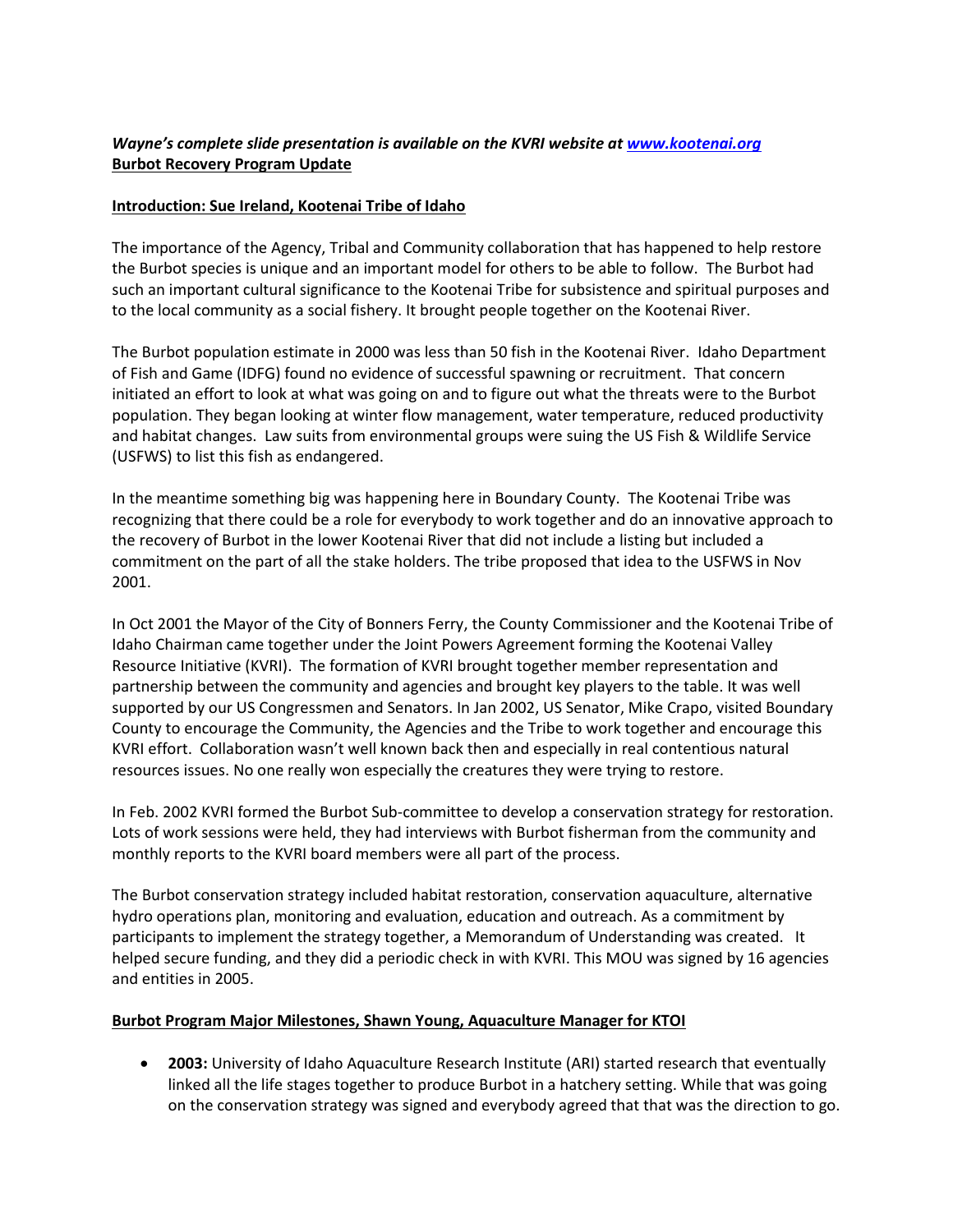# *Wayne's complete slide presentation is available on the KVRI website at [www.kootenai.org](http://www.kootenai.org/)* **Burbot Recovery Program Update**

## **Introduction: Sue Ireland, Kootenai Tribe of Idaho**

The importance of the Agency, Tribal and Community collaboration that has happened to help restore the Burbot species is unique and an important model for others to be able to follow. The Burbot had such an important cultural significance to the Kootenai Tribe for subsistence and spiritual purposes and to the local community as a social fishery. It brought people together on the Kootenai River.

The Burbot population estimate in 2000 was less than 50 fish in the Kootenai River. Idaho Department of Fish and Game (IDFG) found no evidence of successful spawning or recruitment. That concern initiated an effort to look at what was going on and to figure out what the threats were to the Burbot population. They began looking at winter flow management, water temperature, reduced productivity and habitat changes. Law suits from environmental groups were suing the US Fish & Wildlife Service (USFWS) to list this fish as endangered.

In the meantime something big was happening here in Boundary County. The Kootenai Tribe was recognizing that there could be a role for everybody to work together and do an innovative approach to the recovery of Burbot in the lower Kootenai River that did not include a listing but included a commitment on the part of all the stake holders. The tribe proposed that idea to the USFWS in Nov 2001.

In Oct 2001 the Mayor of the City of Bonners Ferry, the County Commissioner and the Kootenai Tribe of Idaho Chairman came together under the Joint Powers Agreement forming the Kootenai Valley Resource Initiative (KVRI). The formation of KVRI brought together member representation and partnership between the community and agencies and brought key players to the table. It was well supported by our US Congressmen and Senators. In Jan 2002, US Senator, Mike Crapo, visited Boundary County to encourage the Community, the Agencies and the Tribe to work together and encourage this KVRI effort. Collaboration wasn't well known back then and especially in real contentious natural resources issues. No one really won especially the creatures they were trying to restore.

In Feb. 2002 KVRI formed the Burbot Sub-committee to develop a conservation strategy for restoration. Lots of work sessions were held, they had interviews with Burbot fisherman from the community and monthly reports to the KVRI board members were all part of the process.

The Burbot conservation strategy included habitat restoration, conservation aquaculture, alternative hydro operations plan, monitoring and evaluation, education and outreach. As a commitment by participants to implement the strategy together, a Memorandum of Understanding was created. It helped secure funding, and they did a periodic check in with KVRI. This MOU was signed by 16 agencies and entities in 2005.

## **Burbot Program Major Milestones, Shawn Young, Aquaculture Manager for KTOI**

 **2003:** University of Idaho Aquaculture Research Institute (ARI) started research that eventually linked all the life stages together to produce Burbot in a hatchery setting. While that was going on the conservation strategy was signed and everybody agreed that that was the direction to go.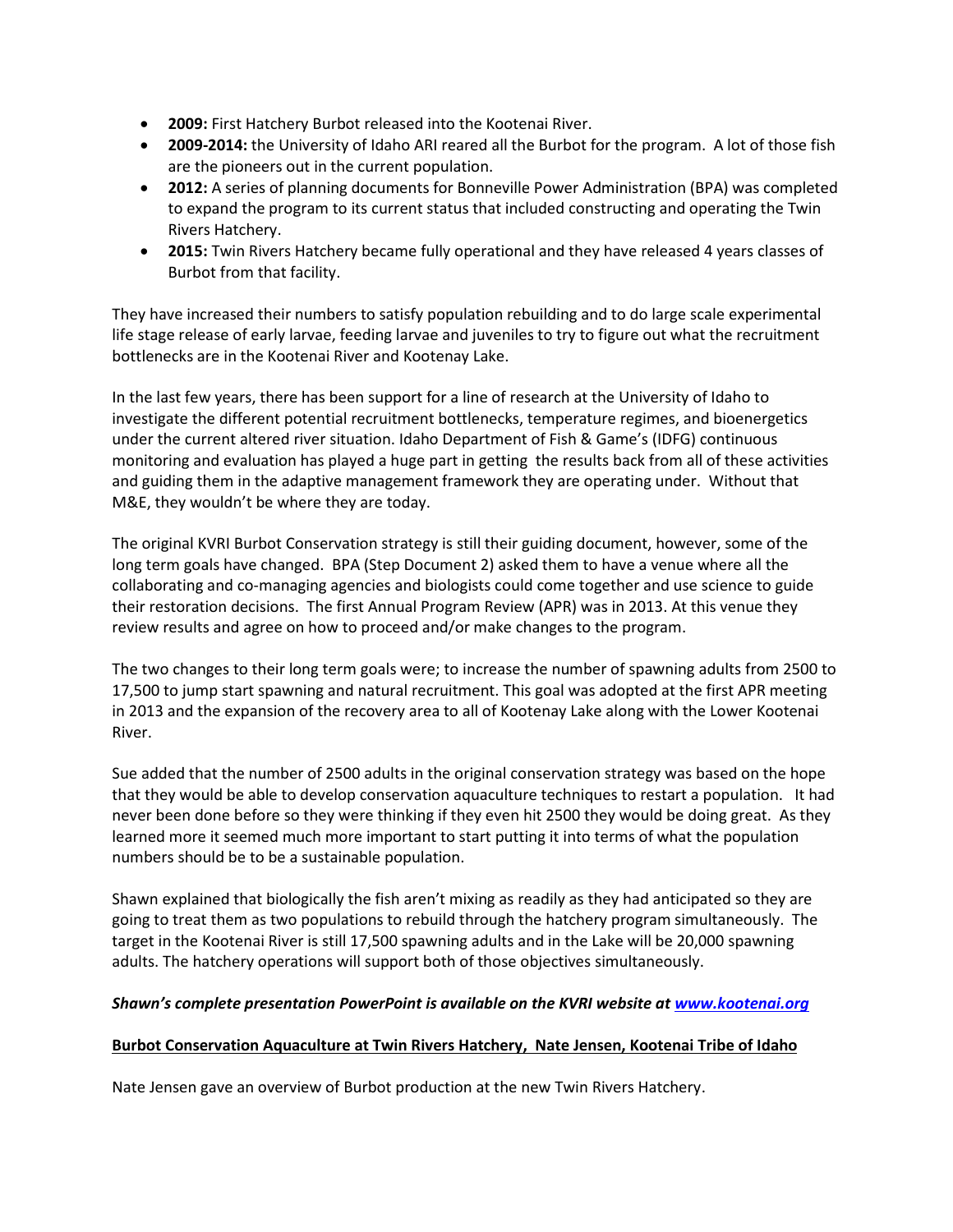- **2009:** First Hatchery Burbot released into the Kootenai River.
- **2009-2014:** the University of Idaho ARI reared all the Burbot for the program. A lot of those fish are the pioneers out in the current population.
- **2012:** A series of planning documents for Bonneville Power Administration (BPA) was completed to expand the program to its current status that included constructing and operating the Twin Rivers Hatchery.
- **2015:** Twin Rivers Hatchery became fully operational and they have released 4 years classes of Burbot from that facility.

They have increased their numbers to satisfy population rebuilding and to do large scale experimental life stage release of early larvae, feeding larvae and juveniles to try to figure out what the recruitment bottlenecks are in the Kootenai River and Kootenay Lake.

In the last few years, there has been support for a line of research at the University of Idaho to investigate the different potential recruitment bottlenecks, temperature regimes, and bioenergetics under the current altered river situation. Idaho Department of Fish & Game's (IDFG) continuous monitoring and evaluation has played a huge part in getting the results back from all of these activities and guiding them in the adaptive management framework they are operating under. Without that M&E, they wouldn't be where they are today.

The original KVRI Burbot Conservation strategy is still their guiding document, however, some of the long term goals have changed. BPA (Step Document 2) asked them to have a venue where all the collaborating and co-managing agencies and biologists could come together and use science to guide their restoration decisions. The first Annual Program Review (APR) was in 2013. At this venue they review results and agree on how to proceed and/or make changes to the program.

The two changes to their long term goals were; to increase the number of spawning adults from 2500 to 17,500 to jump start spawning and natural recruitment. This goal was adopted at the first APR meeting in 2013 and the expansion of the recovery area to all of Kootenay Lake along with the Lower Kootenai River.

Sue added that the number of 2500 adults in the original conservation strategy was based on the hope that they would be able to develop conservation aquaculture techniques to restart a population. It had never been done before so they were thinking if they even hit 2500 they would be doing great. As they learned more it seemed much more important to start putting it into terms of what the population numbers should be to be a sustainable population.

Shawn explained that biologically the fish aren't mixing as readily as they had anticipated so they are going to treat them as two populations to rebuild through the hatchery program simultaneously. The target in the Kootenai River is still 17,500 spawning adults and in the Lake will be 20,000 spawning adults. The hatchery operations will support both of those objectives simultaneously.

## *Shawn's complete presentation PowerPoint is available on the KVRI website at [www.kootenai.org](http://www.kootenai.org/)*

## **Burbot Conservation Aquaculture at Twin Rivers Hatchery, Nate Jensen, Kootenai Tribe of Idaho**

Nate Jensen gave an overview of Burbot production at the new Twin Rivers Hatchery.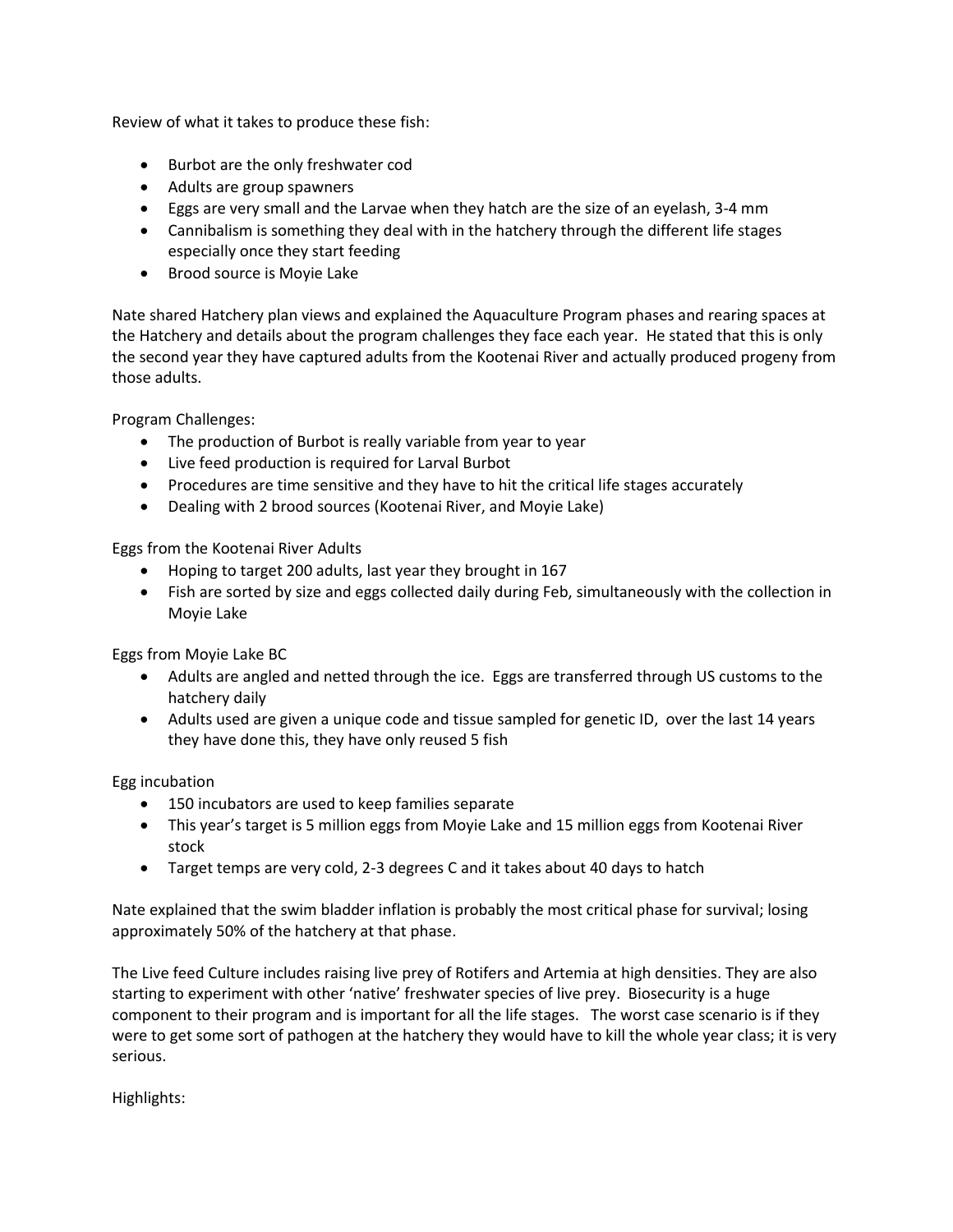Review of what it takes to produce these fish:

- Burbot are the only freshwater cod
- Adults are group spawners
- Eggs are very small and the Larvae when they hatch are the size of an eyelash, 3-4 mm
- Cannibalism is something they deal with in the hatchery through the different life stages especially once they start feeding
- Brood source is Moyie Lake

Nate shared Hatchery plan views and explained the Aquaculture Program phases and rearing spaces at the Hatchery and details about the program challenges they face each year. He stated that this is only the second year they have captured adults from the Kootenai River and actually produced progeny from those adults.

Program Challenges:

- The production of Burbot is really variable from year to year
- Live feed production is required for Larval Burbot
- Procedures are time sensitive and they have to hit the critical life stages accurately
- Dealing with 2 brood sources (Kootenai River, and Moyie Lake)

Eggs from the Kootenai River Adults

- Hoping to target 200 adults, last year they brought in 167
- Fish are sorted by size and eggs collected daily during Feb, simultaneously with the collection in Moyie Lake

Eggs from Moyie Lake BC

- Adults are angled and netted through the ice. Eggs are transferred through US customs to the hatchery daily
- Adults used are given a unique code and tissue sampled for genetic ID, over the last 14 years they have done this, they have only reused 5 fish

Egg incubation

- 150 incubators are used to keep families separate
- This year's target is 5 million eggs from Moyie Lake and 15 million eggs from Kootenai River stock
- Target temps are very cold, 2-3 degrees C and it takes about 40 days to hatch

Nate explained that the swim bladder inflation is probably the most critical phase for survival; losing approximately 50% of the hatchery at that phase.

The Live feed Culture includes raising live prey of Rotifers and Artemia at high densities. They are also starting to experiment with other 'native' freshwater species of live prey. Biosecurity is a huge component to their program and is important for all the life stages. The worst case scenario is if they were to get some sort of pathogen at the hatchery they would have to kill the whole year class; it is very serious.

Highlights: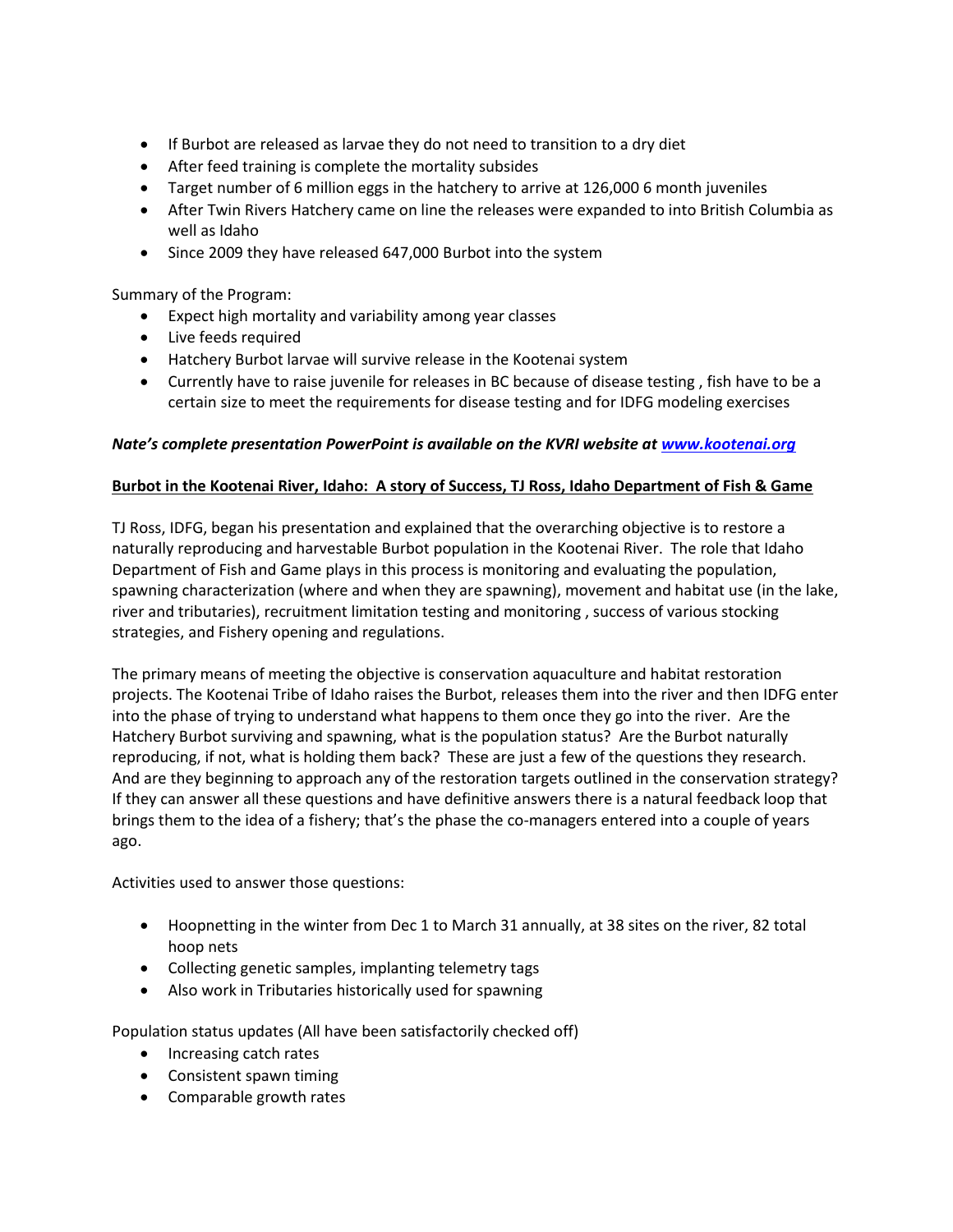- If Burbot are released as larvae they do not need to transition to a dry diet
- After feed training is complete the mortality subsides
- Target number of 6 million eggs in the hatchery to arrive at 126,000 6 month juveniles
- After Twin Rivers Hatchery came on line the releases were expanded to into British Columbia as well as Idaho
- Since 2009 they have released 647,000 Burbot into the system

Summary of the Program:

- Expect high mortality and variability among year classes
- Live feeds required
- Hatchery Burbot larvae will survive release in the Kootenai system
- Currently have to raise juvenile for releases in BC because of disease testing , fish have to be a certain size to meet the requirements for disease testing and for IDFG modeling exercises

#### *Nate's complete presentation PowerPoint is available on the KVRI website at [www.kootenai.org](http://www.kootenai.org/)*

#### **Burbot in the Kootenai River, Idaho: A story of Success, TJ Ross, Idaho Department of Fish & Game**

TJ Ross, IDFG, began his presentation and explained that the overarching objective is to restore a naturally reproducing and harvestable Burbot population in the Kootenai River. The role that Idaho Department of Fish and Game plays in this process is monitoring and evaluating the population, spawning characterization (where and when they are spawning), movement and habitat use (in the lake, river and tributaries), recruitment limitation testing and monitoring , success of various stocking strategies, and Fishery opening and regulations.

The primary means of meeting the objective is conservation aquaculture and habitat restoration projects. The Kootenai Tribe of Idaho raises the Burbot, releases them into the river and then IDFG enter into the phase of trying to understand what happens to them once they go into the river. Are the Hatchery Burbot surviving and spawning, what is the population status? Are the Burbot naturally reproducing, if not, what is holding them back? These are just a few of the questions they research. And are they beginning to approach any of the restoration targets outlined in the conservation strategy? If they can answer all these questions and have definitive answers there is a natural feedback loop that brings them to the idea of a fishery; that's the phase the co-managers entered into a couple of years ago.

Activities used to answer those questions:

- Hoopnetting in the winter from Dec 1 to March 31 annually, at 38 sites on the river, 82 total hoop nets
- Collecting genetic samples, implanting telemetry tags
- Also work in Tributaries historically used for spawning

Population status updates (All have been satisfactorily checked off)

- Increasing catch rates
- Consistent spawn timing
- Comparable growth rates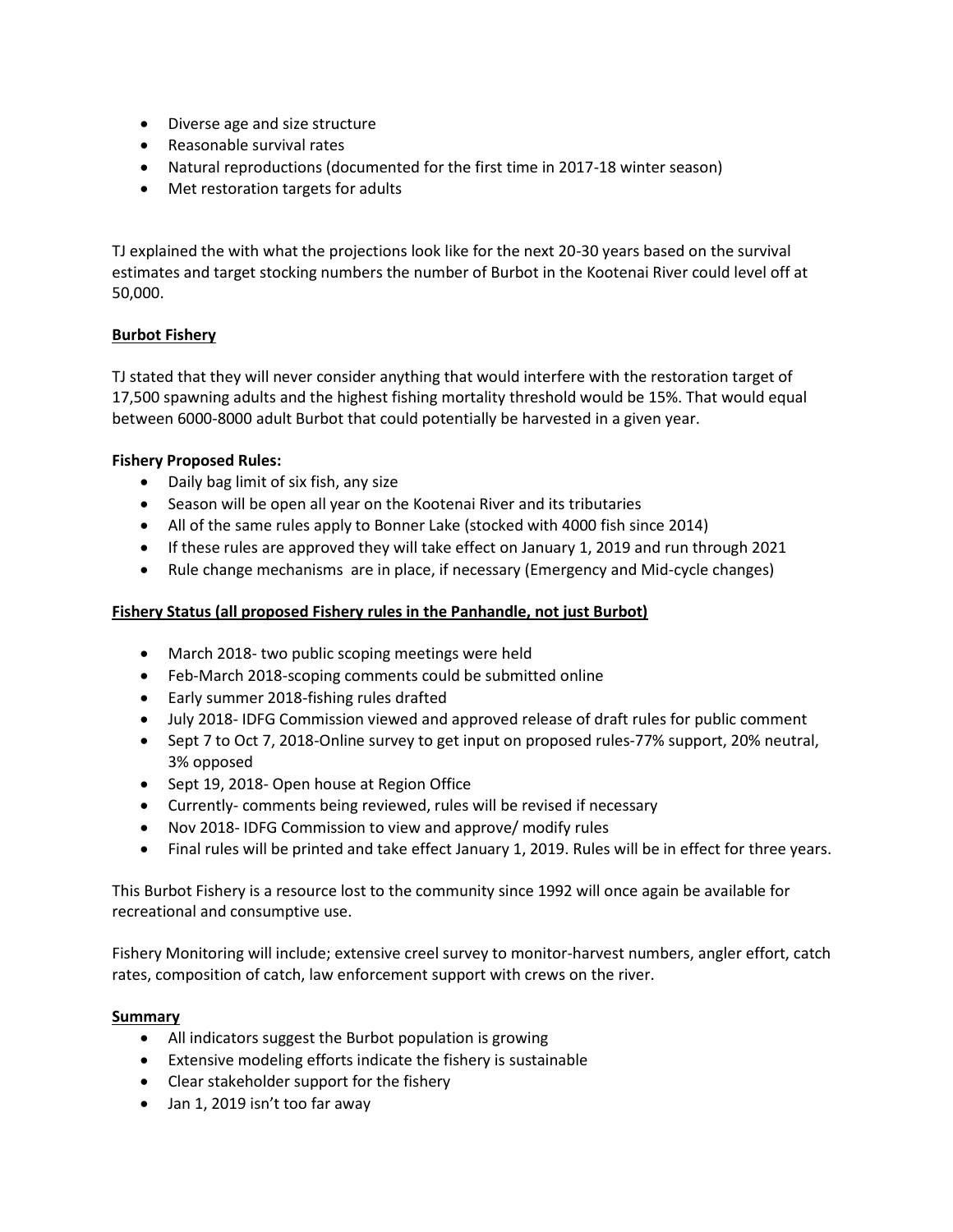- Diverse age and size structure
- Reasonable survival rates
- Natural reproductions (documented for the first time in 2017-18 winter season)
- Met restoration targets for adults

TJ explained the with what the projections look like for the next 20-30 years based on the survival estimates and target stocking numbers the number of Burbot in the Kootenai River could level off at 50,000.

## **Burbot Fishery**

TJ stated that they will never consider anything that would interfere with the restoration target of 17,500 spawning adults and the highest fishing mortality threshold would be 15%. That would equal between 6000-8000 adult Burbot that could potentially be harvested in a given year.

## **Fishery Proposed Rules:**

- Daily bag limit of six fish, any size
- Season will be open all year on the Kootenai River and its tributaries
- All of the same rules apply to Bonner Lake (stocked with 4000 fish since 2014)
- If these rules are approved they will take effect on January 1, 2019 and run through 2021
- Rule change mechanisms are in place, if necessary (Emergency and Mid-cycle changes)

## **Fishery Status (all proposed Fishery rules in the Panhandle, not just Burbot)**

- March 2018- two public scoping meetings were held
- Feb-March 2018-scoping comments could be submitted online
- Early summer 2018-fishing rules drafted
- July 2018- IDFG Commission viewed and approved release of draft rules for public comment
- Sept 7 to Oct 7, 2018-Online survey to get input on proposed rules-77% support, 20% neutral, 3% opposed
- Sept 19, 2018- Open house at Region Office
- Currently- comments being reviewed, rules will be revised if necessary
- Nov 2018- IDFG Commission to view and approve/ modify rules
- Final rules will be printed and take effect January 1, 2019. Rules will be in effect for three years.

This Burbot Fishery is a resource lost to the community since 1992 will once again be available for recreational and consumptive use.

Fishery Monitoring will include; extensive creel survey to monitor-harvest numbers, angler effort, catch rates, composition of catch, law enforcement support with crews on the river.

## **Summary**

- All indicators suggest the Burbot population is growing
- Extensive modeling efforts indicate the fishery is sustainable
- Clear stakeholder support for the fishery
- Jan 1, 2019 isn't too far away